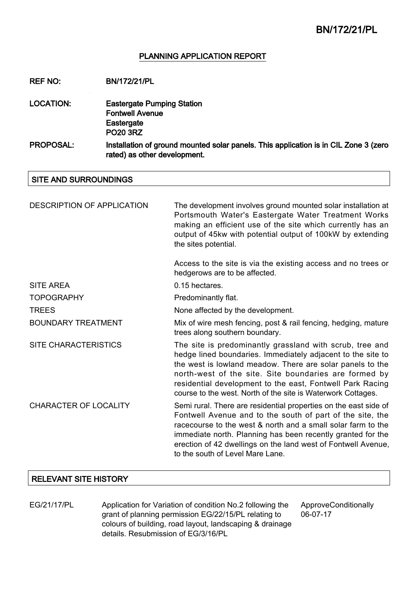### PLANNING APPLICATION REPORT

REF NO: BN/172/21/PL

- LOCATION: Eastergate Pumping Station Fontwell Avenue **Eastergate** PO20 3RZ
- PROPOSAL: Installation of ground mounted solar panels. This application is in CIL Zone 3 (zero rated) as other development.

SITE AND SURROUNDINGS

| <b>DESCRIPTION OF APPLICATION</b> | The development involves ground mounted solar installation at<br>Portsmouth Water's Eastergate Water Treatment Works<br>making an efficient use of the site which currently has an<br>output of 45kw with potential output of 100kW by extending<br>the sites potential.                                                                                                   |
|-----------------------------------|----------------------------------------------------------------------------------------------------------------------------------------------------------------------------------------------------------------------------------------------------------------------------------------------------------------------------------------------------------------------------|
|                                   | Access to the site is via the existing access and no trees or<br>hedgerows are to be affected.                                                                                                                                                                                                                                                                             |
| SITE AREA                         | 0.15 hectares.                                                                                                                                                                                                                                                                                                                                                             |
| <b>TOPOGRAPHY</b>                 | Predominantly flat.                                                                                                                                                                                                                                                                                                                                                        |
| <b>TREES</b>                      | None affected by the development.                                                                                                                                                                                                                                                                                                                                          |
| <b>BOUNDARY TREATMENT</b>         | Mix of wire mesh fencing, post & rail fencing, hedging, mature<br>trees along southern boundary.                                                                                                                                                                                                                                                                           |
| <b>SITE CHARACTERISTICS</b>       | The site is predominantly grassland with scrub, tree and<br>hedge lined boundaries. Immediately adjacent to the site to<br>the west is lowland meadow. There are solar panels to the<br>north-west of the site. Site boundaries are formed by<br>residential development to the east, Fontwell Park Racing<br>course to the west. North of the site is Waterwork Cottages. |
| <b>CHARACTER OF LOCALITY</b>      | Semi rural. There are residential properties on the east side of<br>Fontwell Avenue and to the south of part of the site, the<br>racecourse to the west & north and a small solar farm to the<br>immediate north. Planning has been recently granted for the<br>erection of 42 dwellings on the land west of Fontwell Avenue,<br>to the south of Level Mare Lane.          |

### RELEVANT SITE HISTORY

EG/21/17/PL Application for Variation of condition No.2 following the grant of planning permission EG/22/15/PL relating to colours of building, road layout, landscaping & drainage details. Resubmission of EG/3/16/PL

ApproveConditionally 06-07-17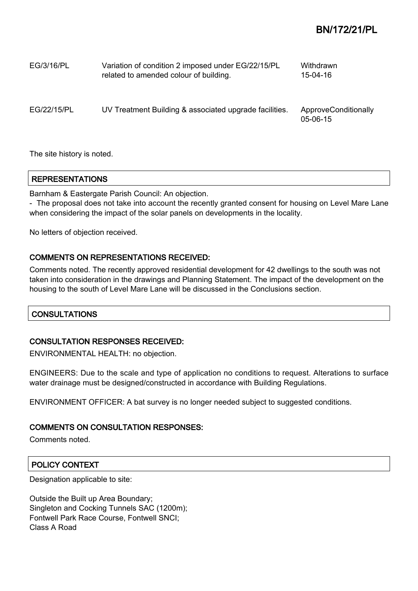| EG/3/16/PL  | Variation of condition 2 imposed under EG/22/15/PL<br>related to amended colour of building. | Withdrawn<br>15-04-16              |
|-------------|----------------------------------------------------------------------------------------------|------------------------------------|
| EG/22/15/PL | UV Treatment Building & associated upgrade facilities.                                       | ApproveConditionally<br>$05-06-15$ |

The site history is noted.

## REPRESENTATIONS

Barnham & Eastergate Parish Council: An objection.

- The proposal does not take into account the recently granted consent for housing on Level Mare Lane when considering the impact of the solar panels on developments in the locality.

No letters of objection received.

## COMMENTS ON REPRESENTATIONS RECEIVED:

Comments noted. The recently approved residential development for 42 dwellings to the south was not taken into consideration in the drawings and Planning Statement. The impact of the development on the housing to the south of Level Mare Lane will be discussed in the Conclusions section.

## **CONSULTATIONS**

## CONSULTATION RESPONSES RECEIVED:

ENVIRONMENTAL HEALTH: no objection.

ENGINEERS: Due to the scale and type of application no conditions to request. Alterations to surface water drainage must be designed/constructed in accordance with Building Regulations.

ENVIRONMENT OFFICER: A bat survey is no longer needed subject to suggested conditions.

### COMMENTS ON CONSULTATION RESPONSES:

Comments noted.

## POLICY CONTEXT

Designation applicable to site:

Outside the Built up Area Boundary; Singleton and Cocking Tunnels SAC (1200m); Fontwell Park Race Course, Fontwell SNCI; Class A Road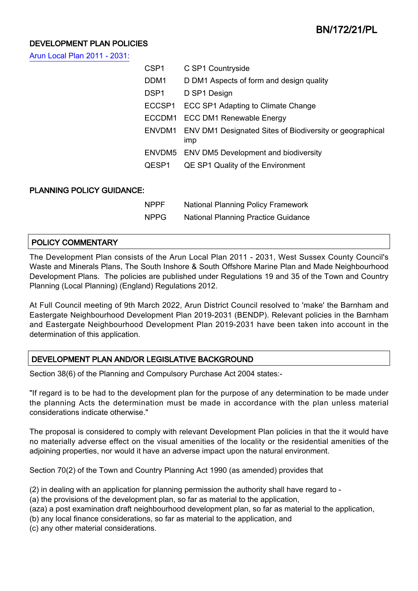## DEVELOPMENT PLAN POLICIES

[Arun Local Plan 2011 - 2031:](https://www.arun.gov.uk/adopted-local-plan)

|                                  | CSP <sub>1</sub> | C SP1 Countryside                                                      |  |  |
|----------------------------------|------------------|------------------------------------------------------------------------|--|--|
|                                  | DDM1             | D DM1 Aspects of form and design quality                               |  |  |
|                                  | DSP <sub>1</sub> | D SP1 Design                                                           |  |  |
|                                  | ECCSP1           | ECC SP1 Adapting to Climate Change                                     |  |  |
|                                  | ECCDM1           | <b>ECC DM1 Renewable Energy</b>                                        |  |  |
|                                  | ENVDM1           | ENV DM1 Designated Sites of Biodiversity or geographical<br><b>Imp</b> |  |  |
|                                  |                  | ENVDM5 ENV DM5 Development and biodiversity                            |  |  |
|                                  | QESP1            | QE SP1 Quality of the Environment                                      |  |  |
|                                  |                  |                                                                        |  |  |
| <b>PLANNING POLICY GUIDANCE:</b> |                  |                                                                        |  |  |
|                                  | <b>NPPF</b>      | <b>National Planning Policy Framework</b>                              |  |  |
|                                  | <b>NPPG</b>      | <b>National Planning Practice Guidance</b>                             |  |  |
|                                  |                  |                                                                        |  |  |

## POLICY COMMENTARY

The Development Plan consists of the Arun Local Plan 2011 - 2031, West Sussex County Council's Waste and Minerals Plans, The South Inshore & South Offshore Marine Plan and Made Neighbourhood Development Plans. The policies are published under Regulations 19 and 35 of the Town and Country Planning (Local Planning) (England) Regulations 2012.

At Full Council meeting of 9th March 2022, Arun District Council resolved to 'make' the Barnham and Eastergate Neighbourhood Development Plan 2019-2031 (BENDP). Relevant policies in the Barnham and Eastergate Neighbourhood Development Plan 2019-2031 have been taken into account in the determination of this application.

## DEVELOPMENT PLAN AND/OR LEGISLATIVE BACKGROUND

Section 38(6) of the Planning and Compulsory Purchase Act 2004 states:-

"If regard is to be had to the development plan for the purpose of any determination to be made under the planning Acts the determination must be made in accordance with the plan unless material considerations indicate otherwise."

The proposal is considered to comply with relevant Development Plan policies in that the it would have no materially adverse effect on the visual amenities of the locality or the residential amenities of the adjoining properties, nor would it have an adverse impact upon the natural environment.

Section 70(2) of the Town and Country Planning Act 1990 (as amended) provides that

(2) in dealing with an application for planning permission the authority shall have regard to -

(a) the provisions of the development plan, so far as material to the application,

(aza) a post examination draft neighbourhood development plan, so far as material to the application,

(b) any local finance considerations, so far as material to the application, and

(c) any other material considerations.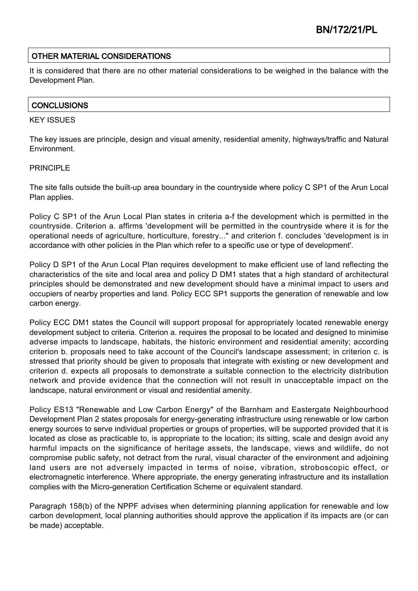## OTHER MATERIAL CONSIDERATIONS

It is considered that there are no other material considerations to be weighed in the balance with the Development Plan.

## **CONCLUSIONS**

#### KEY ISSUES

The key issues are principle, design and visual amenity, residential amenity, highways/traffic and Natural Environment.

### PRINCIPI F

The site falls outside the built-up area boundary in the countryside where policy C SP1 of the Arun Local Plan applies.

Policy C SP1 of the Arun Local Plan states in criteria a-f the development which is permitted in the countryside. Criterion a. affirms 'development will be permitted in the countryside where it is for the operational needs of agriculture, horticulture, forestry..." and criterion f. concludes 'development is in accordance with other policies in the Plan which refer to a specific use or type of development'.

Policy D SP1 of the Arun Local Plan requires development to make efficient use of land reflecting the characteristics of the site and local area and policy D DM1 states that a high standard of architectural principles should be demonstrated and new development should have a minimal impact to users and occupiers of nearby properties and land. Policy ECC SP1 supports the generation of renewable and low carbon energy.

Policy ECC DM1 states the Council will support proposal for appropriately located renewable energy development subject to criteria. Criterion a. requires the proposal to be located and designed to minimise adverse impacts to landscape, habitats, the historic environment and residential amenity; according criterion b. proposals need to take account of the Council's landscape assessment; in criterion c. is stressed that priority should be given to proposals that integrate with existing or new development and criterion d. expects all proposals to demonstrate a suitable connection to the electricity distribution network and provide evidence that the connection will not result in unacceptable impact on the landscape, natural environment or visual and residential amenity.

Policy ES13 "Renewable and Low Carbon Energy" of the Barnham and Eastergate Neighbourhood Development Plan 2 states proposals for energy-generating infrastructure using renewable or low carbon energy sources to serve individual properties or groups of properties, will be supported provided that it is located as close as practicable to, is appropriate to the location; its sitting, scale and design avoid any harmful impacts on the significance of heritage assets, the landscape, views and wildlife, do not compromise public safety, not detract from the rural, visual character of the environment and adjoining land users are not adversely impacted in terms of noise, vibration, stroboscopic effect, or electromagnetic interference. Where appropriate, the energy generating infrastructure and its installation complies with the Micro-generation Certification Scheme or equivalent standard.

Paragraph 158(b) of the NPPF advises when determining planning application for renewable and low carbon development, local planning authorities should approve the application if its impacts are (or can be made) acceptable.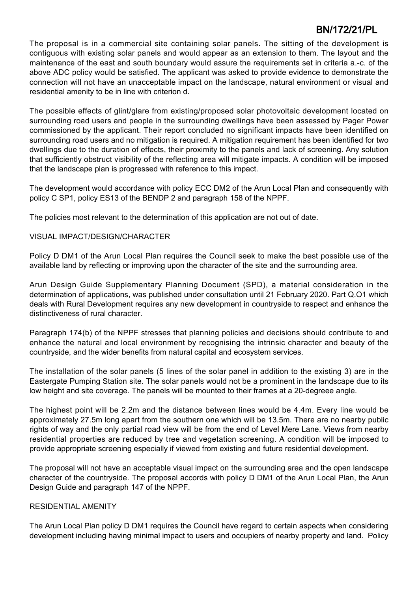The proposal is in a commercial site containing solar panels. The sitting of the development is contiguous with existing solar panels and would appear as an extension to them. The layout and the maintenance of the east and south boundary would assure the requirements set in criteria a.-c. of the above ADC policy would be satisfied. The applicant was asked to provide evidence to demonstrate the connection will not have an unacceptable impact on the landscape, natural environment or visual and residential amenity to be in line with criterion d.

The possible effects of glint/glare from existing/proposed solar photovoltaic development located on surrounding road users and people in the surrounding dwellings have been assessed by Pager Power commissioned by the applicant. Their report concluded no significant impacts have been identified on surrounding road users and no mitigation is required. A mitigation requirement has been identified for two dwellings due to the duration of effects, their proximity to the panels and lack of screening. Any solution that sufficiently obstruct visibility of the reflecting area will mitigate impacts. A condition will be imposed that the landscape plan is progressed with reference to this impact.

The development would accordance with policy ECC DM2 of the Arun Local Plan and consequently with policy C SP1, policy ES13 of the BENDP 2 and paragraph 158 of the NPPF.

The policies most relevant to the determination of this application are not out of date.

## VISUAL IMPACT/DESIGN/CHARACTER

Policy D DM1 of the Arun Local Plan requires the Council seek to make the best possible use of the available land by reflecting or improving upon the character of the site and the surrounding area.

Arun Design Guide Supplementary Planning Document (SPD), a material consideration in the determination of applications, was published under consultation until 21 February 2020. Part Q.O1 which deals with Rural Development requires any new development in countryside to respect and enhance the distinctiveness of rural character.

Paragraph 174(b) of the NPPF stresses that planning policies and decisions should contribute to and enhance the natural and local environment by recognising the intrinsic character and beauty of the countryside, and the wider benefits from natural capital and ecosystem services.

The installation of the solar panels (5 lines of the solar panel in addition to the existing 3) are in the Eastergate Pumping Station site. The solar panels would not be a prominent in the landscape due to its low height and site coverage. The panels will be mounted to their frames at a 20-degreee angle.

The highest point will be 2.2m and the distance between lines would be 4.4m. Every line would be approximately 27.5m long apart from the southern one which will be 13.5m. There are no nearby public rights of way and the only partial road view will be from the end of Level Mere Lane. Views from nearby residential properties are reduced by tree and vegetation screening. A condition will be imposed to provide appropriate screening especially if viewed from existing and future residential development.

The proposal will not have an acceptable visual impact on the surrounding area and the open landscape character of the countryside. The proposal accords with policy D DM1 of the Arun Local Plan, the Arun Design Guide and paragraph 147 of the NPPF.

### RESIDENTIAL AMENITY

The Arun Local Plan policy D DM1 requires the Council have regard to certain aspects when considering development including having minimal impact to users and occupiers of nearby property and land. Policy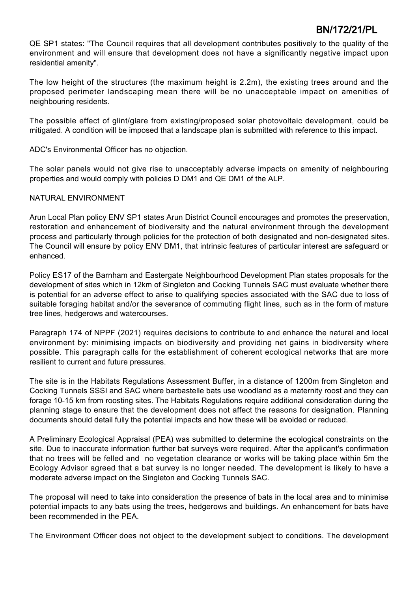QE SP1 states: "The Council requires that all development contributes positively to the quality of the environment and will ensure that development does not have a significantly negative impact upon residential amenity".

The low height of the structures (the maximum height is 2.2m), the existing trees around and the proposed perimeter landscaping mean there will be no unacceptable impact on amenities of neighbouring residents.

The possible effect of glint/glare from existing/proposed solar photovoltaic development, could be mitigated. A condition will be imposed that a landscape plan is submitted with reference to this impact.

ADC's Environmental Officer has no objection.

The solar panels would not give rise to unacceptably adverse impacts on amenity of neighbouring properties and would comply with policies D DM1 and QE DM1 of the ALP.

### NATURAL ENVIRONMENT

Arun Local Plan policy ENV SP1 states Arun District Council encourages and promotes the preservation, restoration and enhancement of biodiversity and the natural environment through the development process and particularly through policies for the protection of both designated and non-designated sites. The Council will ensure by policy ENV DM1, that intrinsic features of particular interest are safeguard or enhanced.

Policy ES17 of the Barnham and Eastergate Neighbourhood Development Plan states proposals for the development of sites which in 12km of Singleton and Cocking Tunnels SAC must evaluate whether there is potential for an adverse effect to arise to qualifying species associated with the SAC due to loss of suitable foraging habitat and/or the severance of commuting flight lines, such as in the form of mature tree lines, hedgerows and watercourses.

Paragraph 174 of NPPF (2021) requires decisions to contribute to and enhance the natural and local environment by: minimising impacts on biodiversity and providing net gains in biodiversity where possible. This paragraph calls for the establishment of coherent ecological networks that are more resilient to current and future pressures.

The site is in the Habitats Regulations Assessment Buffer, in a distance of 1200m from Singleton and Cocking Tunnels SSSI and SAC where barbastelle bats use woodland as a maternity roost and they can forage 10-15 km from roosting sites. The Habitats Regulations require additional consideration during the planning stage to ensure that the development does not affect the reasons for designation. Planning documents should detail fully the potential impacts and how these will be avoided or reduced.

A Preliminary Ecological Appraisal (PEA) was submitted to determine the ecological constraints on the site. Due to inaccurate information further bat surveys were required. After the applicant's confirmation that no trees will be felled and no vegetation clearance or works will be taking place within 5m the Ecology Advisor agreed that a bat survey is no longer needed. The development is likely to have a moderate adverse impact on the Singleton and Cocking Tunnels SAC.

The proposal will need to take into consideration the presence of bats in the local area and to minimise potential impacts to any bats using the trees, hedgerows and buildings. An enhancement for bats have been recommended in the PEA.

The Environment Officer does not object to the development subject to conditions. The development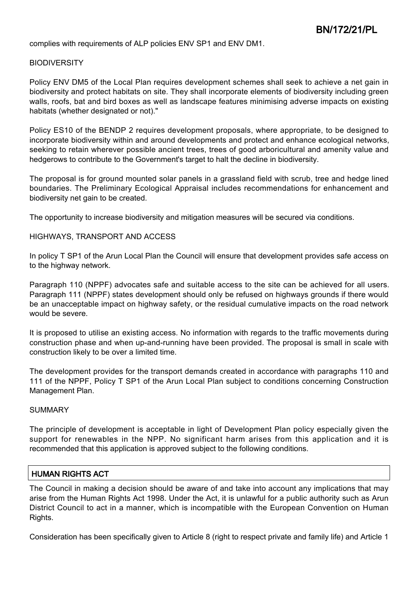complies with requirements of ALP policies ENV SP1 and ENV DM1.

### **BIODIVERSITY**

Policy ENV DM5 of the Local Plan requires development schemes shall seek to achieve a net gain in biodiversity and protect habitats on site. They shall incorporate elements of biodiversity including green walls, roofs, bat and bird boxes as well as landscape features minimising adverse impacts on existing habitats (whether designated or not)."

Policy ES10 of the BENDP 2 requires development proposals, where appropriate, to be designed to incorporate biodiversity within and around developments and protect and enhance ecological networks, seeking to retain wherever possible ancient trees, trees of good arboricultural and amenity value and hedgerows to contribute to the Government's target to halt the decline in biodiversity.

The proposal is for ground mounted solar panels in a grassland field with scrub, tree and hedge lined boundaries. The Preliminary Ecological Appraisal includes recommendations for enhancement and biodiversity net gain to be created.

The opportunity to increase biodiversity and mitigation measures will be secured via conditions.

#### HIGHWAYS, TRANSPORT AND ACCESS

In policy T SP1 of the Arun Local Plan the Council will ensure that development provides safe access on to the highway network.

Paragraph 110 (NPPF) advocates safe and suitable access to the site can be achieved for all users. Paragraph 111 (NPPF) states development should only be refused on highways grounds if there would be an unacceptable impact on highway safety, or the residual cumulative impacts on the road network would be severe.

It is proposed to utilise an existing access. No information with regards to the traffic movements during construction phase and when up-and-running have been provided. The proposal is small in scale with construction likely to be over a limited time.

The development provides for the transport demands created in accordance with paragraphs 110 and 111 of the NPPF, Policy T SP1 of the Arun Local Plan subject to conditions concerning Construction Management Plan.

### **SUMMARY**

The principle of development is acceptable in light of Development Plan policy especially given the support for renewables in the NPP. No significant harm arises from this application and it is recommended that this application is approved subject to the following conditions.

### HUMAN RIGHTS ACT

The Council in making a decision should be aware of and take into account any implications that may arise from the Human Rights Act 1998. Under the Act, it is unlawful for a public authority such as Arun District Council to act in a manner, which is incompatible with the European Convention on Human Rights.

Consideration has been specifically given to Article 8 (right to respect private and family life) and Article 1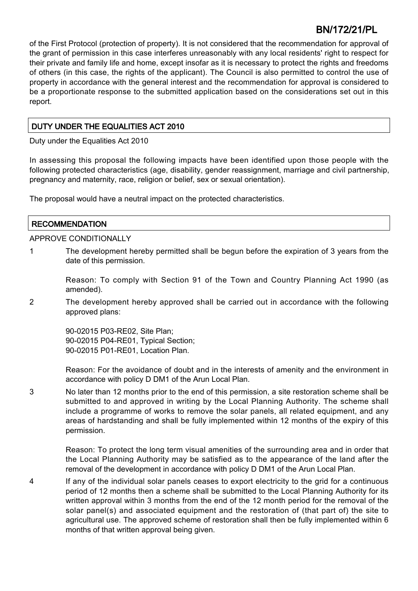of the First Protocol (protection of property). It is not considered that the recommendation for approval of the grant of permission in this case interferes unreasonably with any local residents' right to respect for their private and family life and home, except insofar as it is necessary to protect the rights and freedoms of others (in this case, the rights of the applicant). The Council is also permitted to control the use of property in accordance with the general interest and the recommendation for approval is considered to be a proportionate response to the submitted application based on the considerations set out in this report.

## DUTY UNDER THE EQUALITIES ACT 2010

Duty under the Equalities Act 2010

In assessing this proposal the following impacts have been identified upon those people with the following protected characteristics (age, disability, gender reassignment, marriage and civil partnership, pregnancy and maternity, race, religion or belief, sex or sexual orientation).

The proposal would have a neutral impact on the protected characteristics.

## **RECOMMENDATION**

### APPROVE CONDITIONALLY

1 The development hereby permitted shall be begun before the expiration of 3 years from the date of this permission.

Reason: To comply with Section 91 of the Town and Country Planning Act 1990 (as amended).

2 The development hereby approved shall be carried out in accordance with the following approved plans:

> 90-02015 P03-RE02, Site Plan; 90-02015 P04-RE01, Typical Section; 90-02015 P01-RE01, Location Plan.

Reason: For the avoidance of doubt and in the interests of amenity and the environment in accordance with policy D DM1 of the Arun Local Plan.

3 No later than 12 months prior to the end of this permission, a site restoration scheme shall be submitted to and approved in writing by the Local Planning Authority. The scheme shall include a programme of works to remove the solar panels, all related equipment, and any areas of hardstanding and shall be fully implemented within 12 months of the expiry of this permission.

> Reason: To protect the long term visual amenities of the surrounding area and in order that the Local Planning Authority may be satisfied as to the appearance of the land after the removal of the development in accordance with policy D DM1 of the Arun Local Plan.

4 If any of the individual solar panels ceases to export electricity to the grid for a continuous period of 12 months then a scheme shall be submitted to the Local Planning Authority for its written approval within 3 months from the end of the 12 month period for the removal of the solar panel(s) and associated equipment and the restoration of (that part of) the site to agricultural use. The approved scheme of restoration shall then be fully implemented within 6 months of that written approval being given.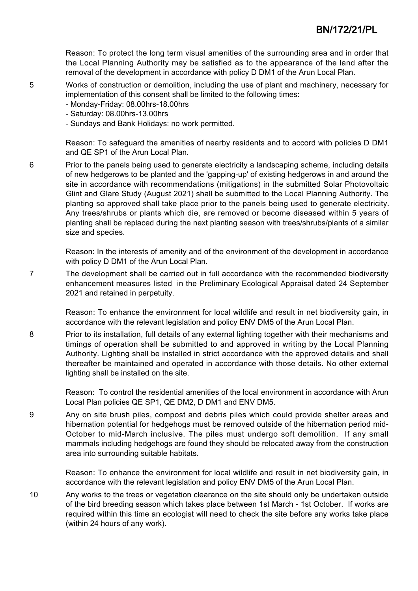Reason: To protect the long term visual amenities of the surrounding area and in order that the Local Planning Authority may be satisfied as to the appearance of the land after the removal of the development in accordance with policy D DM1 of the Arun Local Plan.

- 5 Works of construction or demolition, including the use of plant and machinery, necessary for implementation of this consent shall be limited to the following times:
	- Monday-Friday: 08.00hrs-18.00hrs
	- Saturday: 08.00hrs-13.00hrs
	- Sundays and Bank Holidays: no work permitted.

Reason: To safeguard the amenities of nearby residents and to accord with policies D DM1 and QE SP1 of the Arun Local Plan.

6 Prior to the panels being used to generate electricity a landscaping scheme, including details of new hedgerows to be planted and the 'gapping-up' of existing hedgerows in and around the site in accordance with recommendations (mitigations) in the submitted Solar Photovoltaic Glint and Glare Study (August 2021) shall be submitted to the Local Planning Authority. The planting so approved shall take place prior to the panels being used to generate electricity. Any trees/shrubs or plants which die, are removed or become diseased within 5 years of planting shall be replaced during the next planting season with trees/shrubs/plants of a similar size and species.

Reason: In the interests of amenity and of the environment of the development in accordance with policy D DM1 of the Arun Local Plan.

7 The development shall be carried out in full accordance with the recommended biodiversity enhancement measures listed in the Preliminary Ecological Appraisal dated 24 September 2021 and retained in perpetuity.

> Reason: To enhance the environment for local wildlife and result in net biodiversity gain, in accordance with the relevant legislation and policy ENV DM5 of the Arun Local Plan.

8 Prior to its installation, full details of any external lighting together with their mechanisms and timings of operation shall be submitted to and approved in writing by the Local Planning Authority. Lighting shall be installed in strict accordance with the approved details and shall thereafter be maintained and operated in accordance with those details. No other external lighting shall be installed on the site.

> Reason: To control the residential amenities of the local environment in accordance with Arun Local Plan policies QE SP1, QE DM2, D DM1 and ENV DM5.

9 Any on site brush piles, compost and debris piles which could provide shelter areas and hibernation potential for hedgehogs must be removed outside of the hibernation period mid-October to mid-March inclusive. The piles must undergo soft demolition. If any small mammals including hedgehogs are found they should be relocated away from the construction area into surrounding suitable habitats.

> Reason: To enhance the environment for local wildlife and result in net biodiversity gain, in accordance with the relevant legislation and policy ENV DM5 of the Arun Local Plan.

10 Any works to the trees or vegetation clearance on the site should only be undertaken outside of the bird breeding season which takes place between 1st March - 1st October. If works are required within this time an ecologist will need to check the site before any works take place (within 24 hours of any work).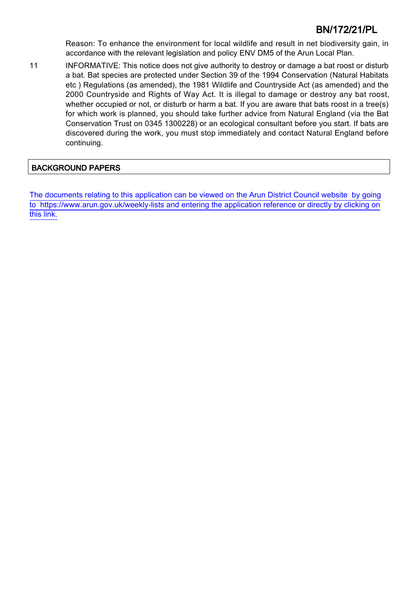Reason: To enhance the environment for local wildlife and result in net biodiversity gain, in accordance with the relevant legislation and policy ENV DM5 of the Arun Local Plan.

11 INFORMATIVE: This notice does not give authority to destroy or damage a bat roost or disturb a bat. Bat species are protected under Section 39 of the 1994 Conservation (Natural Habitats etc ) Regulations (as amended), the 1981 Wildlife and Countryside Act (as amended) and the 2000 Countryside and Rights of Way Act. It is illegal to damage or destroy any bat roost, whether occupied or not, or disturb or harm a bat. If you are aware that bats roost in a tree(s) for which work is planned, you should take further advice from Natural England (via the Bat Conservation Trust on 0345 1300228) or an ecological consultant before you start. If bats are discovered during the work, you must stop immediately and contact Natural England before continuing.

## BACKGROUND PAPERS

[The documents relating to this application can be viewed on the Arun District Council website by going](http://www1.arun.gov.uk/planrec/index.cfm?tpkey=eOcella&user_key_1=BN/172/21/PL&keyscheme=planning) [to https://www.arun.gov.uk/weekly-lists and entering the application reference or directly by clicking on](http://www1.arun.gov.uk/planrec/index.cfm?tpkey=eOcella&user_key_1=BN/172/21/PL&keyscheme=planning) [this link.](http://www1.arun.gov.uk/planrec/index.cfm?tpkey=eOcella&user_key_1=BN/172/21/PL&keyscheme=planning)